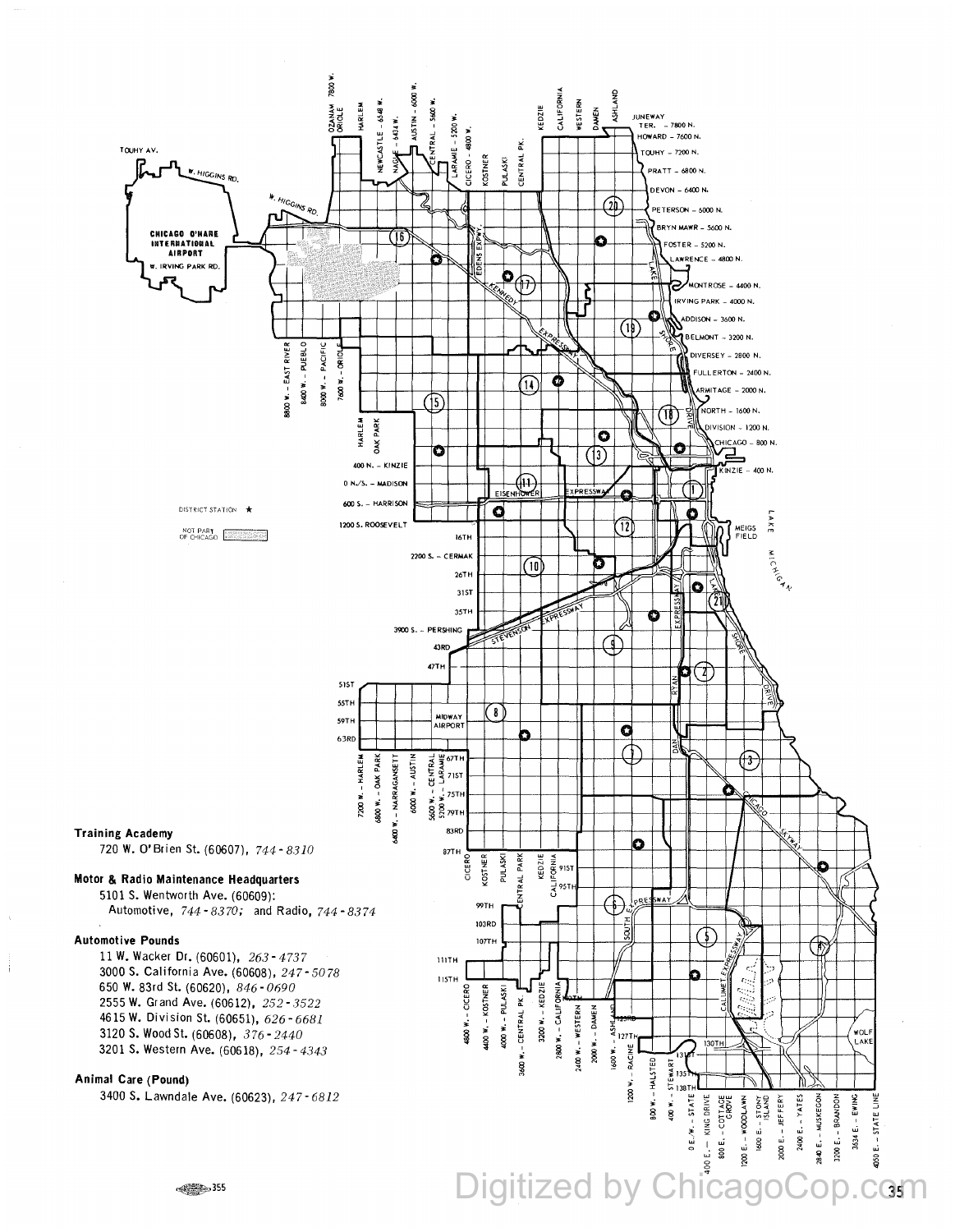

÷

### Digitized by Chio  $C$ **35 11**